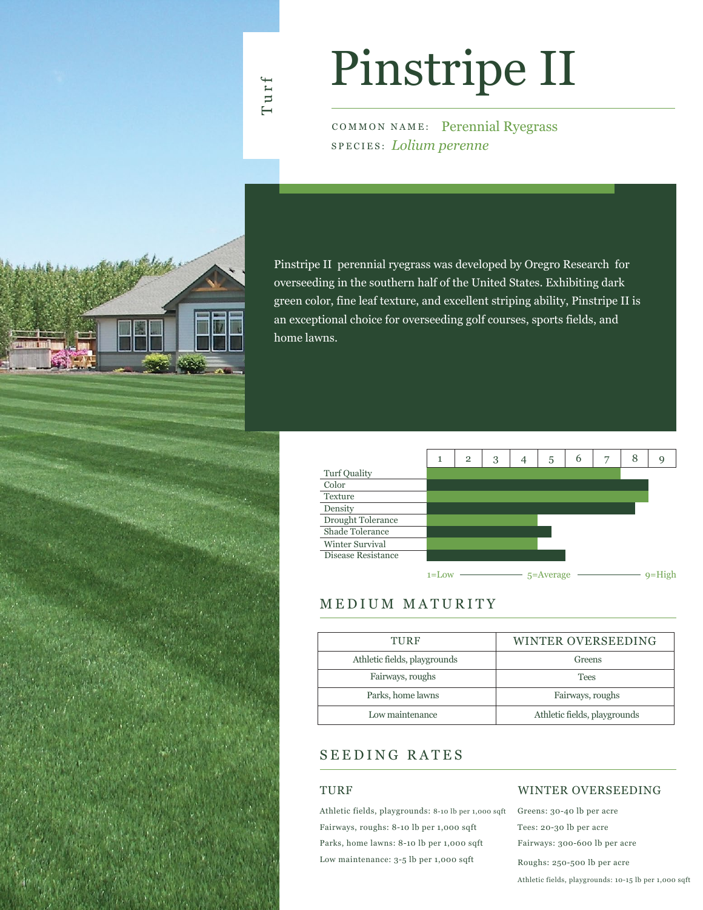### Turf

# Pinstripe II

COMMON NAME: Perennial Ryegrass SPECIES: *Lolium perenne*

Pinstripe II perennial ryegrass was developed by Oregro Research for overseeding in the southern half of the United States. Exhibiting dark green color, fine leaf texture, and excellent striping ability, Pinstripe II is an exceptional choice for overseeding golf courses, sports fields, and home lawns.



### MEDIUM MATURITY

| TURF                         | WINTER OVERSEEDING           |  |  |  |  |  |
|------------------------------|------------------------------|--|--|--|--|--|
| Athletic fields, playgrounds | Greens                       |  |  |  |  |  |
| Fairways, roughs             | <b>Tees</b>                  |  |  |  |  |  |
| Parks, home lawns            | Fairways, roughs             |  |  |  |  |  |
| Low maintenance              | Athletic fields, playgrounds |  |  |  |  |  |

### SEEDING RATES

#### TURF

Athletic fields, playgrounds: 8-10 lb per 1,000 sqft Fairways, roughs: 8-10 lb per 1,000 sqft Parks, home lawns: 8-10 lb per 1,000 sqft Low maintenance: 3-5 lb per 1,000 sqft

### WINTER OVERSEEDING

Greens: 30-40 lb per acre Tees: 20-30 lb per acre Fairways: 300-600 lb per acre Roughs: 250-500 lb per acre Athletic fields, playgrounds: 10-15 lb per 1,000 sqft